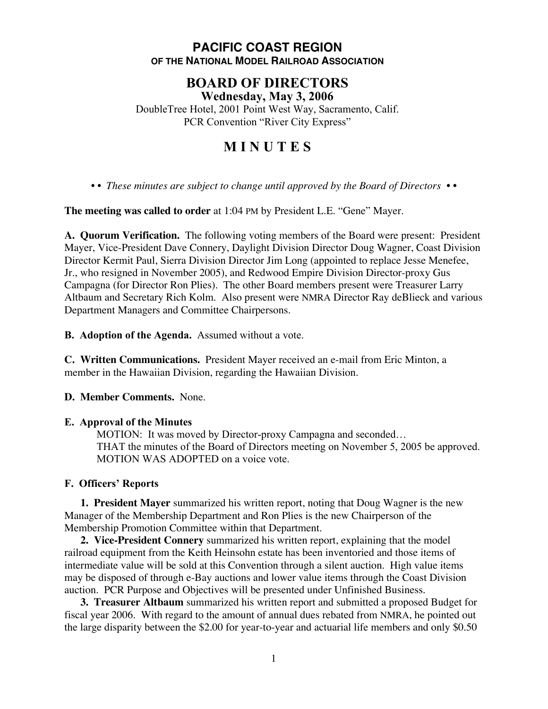# **PACIFIC COAST REGION OF THE NATIONAL MODEL RAILROAD ASSOCIATION**

## **BOARD OF DIRECTORS Wednesday, May 3, 2006**

DoubleTree Hotel, 2001 Point West Way, Sacramento, Calif. PCR Convention "River City Express"

# **M I N U T E S**

*• • These minutes are subject to change until approved by the Board of Directors • •*

**The meeting was called to order** at 1:04 PM by President L.E. "Gene" Mayer.

**A. Quorum Verification.** The following voting members of the Board were present: President Mayer, Vice-President Dave Connery, Daylight Division Director Doug Wagner, Coast Division Director Kermit Paul, Sierra Division Director Jim Long (appointed to replace Jesse Menefee, Jr., who resigned in November 2005), and Redwood Empire Division Director-proxy Gus Campagna (for Director Ron Plies). The other Board members present were Treasurer Larry Altbaum and Secretary Rich Kolm. Also present were NMRA Director Ray deBlieck and various Department Managers and Committee Chairpersons.

**B. Adoption of the Agenda.** Assumed without a vote.

**C. Written Communications.** President Mayer received an e-mail from Eric Minton, a member in the Hawaiian Division, regarding the Hawaiian Division.

**D. Member Comments.** None.

## **E. Approval of the Minutes**

MOTION: It was moved by Director-proxy Campagna and seconded… THAT the minutes of the Board of Directors meeting on November 5, 2005 be approved. MOTION WAS ADOPTED on a voice vote.

## **F. Officers' Reports**

**1. President Mayer** summarized his written report, noting that Doug Wagner is the new Manager of the Membership Department and Ron Plies is the new Chairperson of the Membership Promotion Committee within that Department.

**2. Vice-President Connery** summarized his written report, explaining that the model railroad equipment from the Keith Heinsohn estate has been inventoried and those items of intermediate value will be sold at this Convention through a silent auction. High value items may be disposed of through e-Bay auctions and lower value items through the Coast Division auction. PCR Purpose and Objectives will be presented under Unfinished Business.

**3. Treasurer Altbaum** summarized his written report and submitted a proposed Budget for fiscal year 2006. With regard to the amount of annual dues rebated from NMRA, he pointed out the large disparity between the \$2.00 for year-to-year and actuarial life members and only \$0.50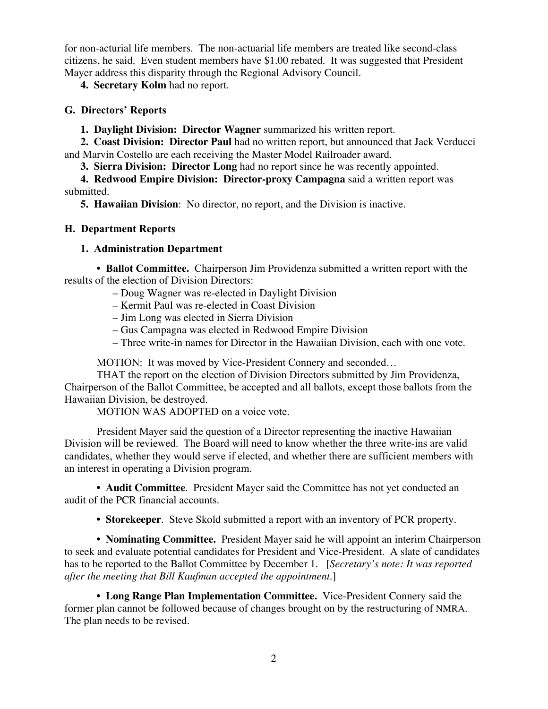for non-acturial life members. The non-actuarial life members are treated like second-class citizens, he said. Even student members have \$1.00 rebated. It was suggested that President Mayer address this disparity through the Regional Advisory Council.

**4. Secretary Kolm** had no report.

#### **G. Directors' Reports**

**1. Daylight Division: Director Wagner** summarized his written report.

**2. Coast Division: Director Paul** had no written report, but announced that Jack Verducci and Marvin Costello are each receiving the Master Model Railroader award.

**3. Sierra Division: Director Long** had no report since he was recently appointed.

**4. Redwood Empire Division: Director-proxy Campagna** said a written report was submitted.

**5. Hawaiian Division**: No director, no report, and the Division is inactive.

## **H. Department Reports**

## **1. Administration Department**

**• Ballot Committee.** Chairperson Jim Providenza submitted a written report with the results of the election of Division Directors:

- Doug Wagner was re-elected in Daylight Division
- Kermit Paul was re-elected in Coast Division
- Jim Long was elected in Sierra Division
- Gus Campagna was elected in Redwood Empire Division
- Three write-in names for Director in the Hawaiian Division, each with one vote.

MOTION: It was moved by Vice-President Connery and seconded…

THAT the report on the election of Division Directors submitted by Jim Providenza, Chairperson of the Ballot Committee, be accepted and all ballots, except those ballots from the Hawaiian Division, be destroyed.

MOTION WAS ADOPTED on a voice vote.

President Mayer said the question of a Director representing the inactive Hawaiian Division will be reviewed. The Board will need to know whether the three write-ins are valid candidates, whether they would serve if elected, and whether there are sufficient members with an interest in operating a Division program.

**• Audit Committee**. President Mayer said the Committee has not yet conducted an audit of the PCR financial accounts.

**• Storekeeper**. Steve Skold submitted a report with an inventory of PCR property.

**• Nominating Committee.** President Mayer said he will appoint an interim Chairperson to seek and evaluate potential candidates for President and Vice-President. A slate of candidates has to be reported to the Ballot Committee by December 1. [*Secretary's note: It was reported after the meeting that Bill Kaufman accepted the appointment*.]

**• Long Range Plan Implementation Committee.** Vice-President Connery said the former plan cannot be followed because of changes brought on by the restructuring of NMRA. The plan needs to be revised.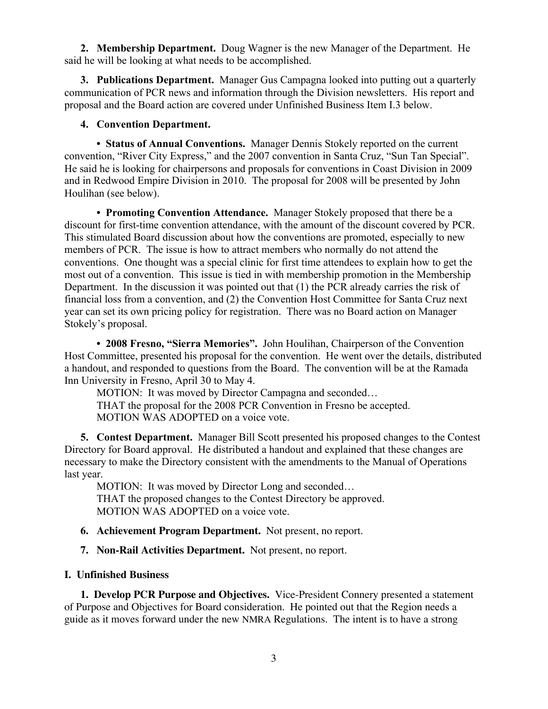**2. Membership Department.** Doug Wagner is the new Manager of the Department. He said he will be looking at what needs to be accomplished.

**3. Publications Department.** Manager Gus Campagna looked into putting out a quarterly communication of PCR news and information through the Division newsletters. His report and proposal and the Board action are covered under Unfinished Business Item I.3 below.

## **4. Convention Department.**

**• Status of Annual Conventions.** Manager Dennis Stokely reported on the current convention, "River City Express," and the 2007 convention in Santa Cruz, "Sun Tan Special". He said he is looking for chairpersons and proposals for conventions in Coast Division in 2009 and in Redwood Empire Division in 2010. The proposal for 2008 will be presented by John Houlihan (see below).

**• Promoting Convention Attendance.** Manager Stokely proposed that there be a discount for first-time convention attendance, with the amount of the discount covered by PCR. This stimulated Board discussion about how the conventions are promoted, especially to new members of PCR. The issue is how to attract members who normally do not attend the conventions. One thought was a special clinic for first time attendees to explain how to get the most out of a convention. This issue is tied in with membership promotion in the Membership Department. In the discussion it was pointed out that (1) the PCR already carries the risk of financial loss from a convention, and (2) the Convention Host Committee for Santa Cruz next year can set its own pricing policy for registration. There was no Board action on Manager Stokely's proposal.

**• 2008 Fresno, "Sierra Memories".** John Houlihan, Chairperson of the Convention Host Committee, presented his proposal for the convention. He went over the details, distributed a handout, and responded to questions from the Board. The convention will be at the Ramada Inn University in Fresno, April 30 to May 4.

MOTION: It was moved by Director Campagna and seconded... THAT the proposal for the 2008 PCR Convention in Fresno be accepted. MOTION WAS ADOPTED on a voice vote.

**5. Contest Department.** Manager Bill Scott presented his proposed changes to the Contest Directory for Board approval. He distributed a handout and explained that these changes are necessary to make the Directory consistent with the amendments to the Manual of Operations last year.

MOTION: It was moved by Director Long and seconded... THAT the proposed changes to the Contest Directory be approved. MOTION WAS ADOPTED on a voice vote.

- **6. Achievement Program Department.** Not present, no report.
- **7. Non-Rail Activities Department.** Not present, no report.

## **I. Unfinished Business**

**1. Develop PCR Purpose and Objectives.** Vice-President Connery presented a statement of Purpose and Objectives for Board consideration. He pointed out that the Region needs a guide as it moves forward under the new NMRA Regulations. The intent is to have a strong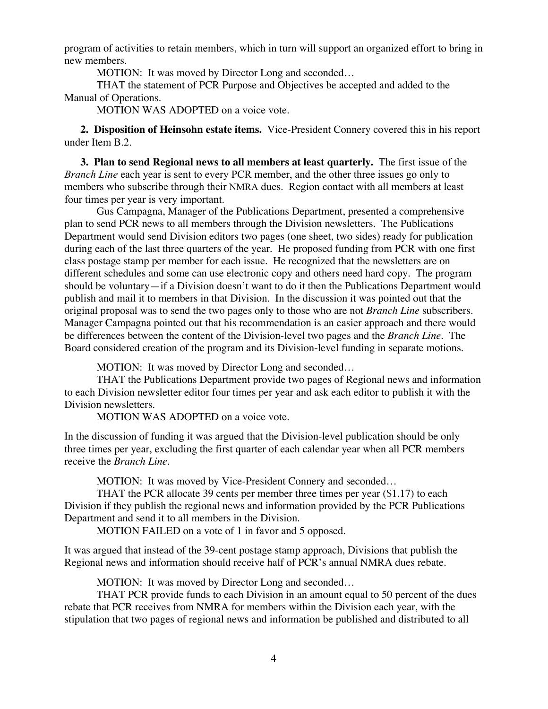program of activities to retain members, which in turn will support an organized effort to bring in new members.

MOTION: It was moved by Director Long and seconded...

THAT the statement of PCR Purpose and Objectives be accepted and added to the Manual of Operations.

MOTION WAS ADOPTED on a voice vote.

**2. Disposition of Heinsohn estate items.** Vice-President Connery covered this in his report under Item B.2.

**3. Plan to send Regional news to all members at least quarterly.** The first issue of the *Branch Line* each year is sent to every PCR member, and the other three issues go only to members who subscribe through their NMRA dues. Region contact with all members at least four times per year is very important.

Gus Campagna, Manager of the Publications Department, presented a comprehensive plan to send PCR news to all members through the Division newsletters. The Publications Department would send Division editors two pages (one sheet, two sides) ready for publication during each of the last three quarters of the year. He proposed funding from PCR with one first class postage stamp per member for each issue. He recognized that the newsletters are on different schedules and some can use electronic copy and others need hard copy. The program should be voluntary—if a Division doesn't want to do it then the Publications Department would publish and mail it to members in that Division. In the discussion it was pointed out that the original proposal was to send the two pages only to those who are not *Branch Line* subscribers. Manager Campagna pointed out that his recommendation is an easier approach and there would be differences between the content of the Division-level two pages and the *Branch Line*. The Board considered creation of the program and its Division-level funding in separate motions.

MOTION: It was moved by Director Long and seconded…

THAT the Publications Department provide two pages of Regional news and information to each Division newsletter editor four times per year and ask each editor to publish it with the Division newsletters.

MOTION WAS ADOPTED on a voice vote.

In the discussion of funding it was argued that the Division-level publication should be only three times per year, excluding the first quarter of each calendar year when all PCR members receive the *Branch Line*.

MOTION: It was moved by Vice-President Connery and seconded…

THAT the PCR allocate 39 cents per member three times per year (\$1.17) to each Division if they publish the regional news and information provided by the PCR Publications Department and send it to all members in the Division.

MOTION FAILED on a vote of 1 in favor and 5 opposed.

It was argued that instead of the 39-cent postage stamp approach, Divisions that publish the Regional news and information should receive half of PCR's annual NMRA dues rebate.

MOTION: It was moved by Director Long and seconded…

THAT PCR provide funds to each Division in an amount equal to 50 percent of the dues rebate that PCR receives from NMRA for members within the Division each year, with the stipulation that two pages of regional news and information be published and distributed to all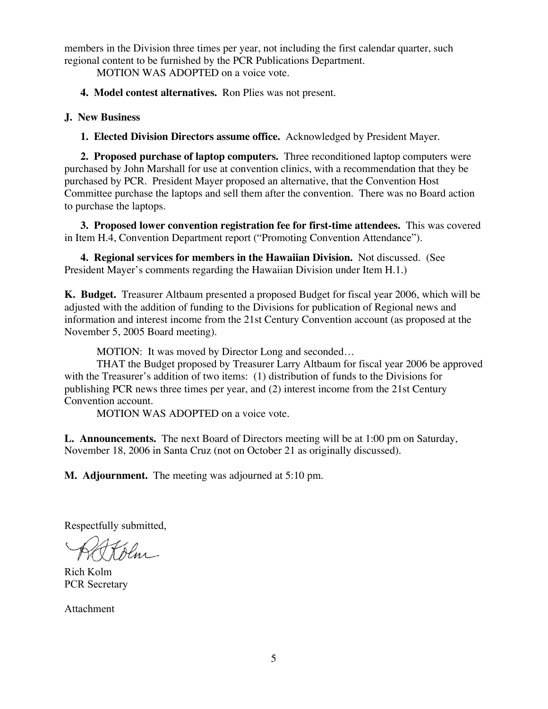members in the Division three times per year, not including the first calendar quarter, such regional content to be furnished by the PCR Publications Department.

MOTION WAS ADOPTED on a voice vote.

**4. Model contest alternatives.** Ron Plies was not present.

#### **J. New Business**

**1. Elected Division Directors assume office.** Acknowledged by President Mayer.

**2. Proposed purchase of laptop computers.** Three reconditioned laptop computers were purchased by John Marshall for use at convention clinics, with a recommendation that they be purchased by PCR. President Mayer proposed an alternative, that the Convention Host Committee purchase the laptops and sell them after the convention. There was no Board action to purchase the laptops.

**3. Proposed lower convention registration fee for first-time attendees.** This was covered in Item H.4, Convention Department report ("Promoting Convention Attendance").

**4. Regional services for members in the Hawaiian Division.** Not discussed. (See President Mayer's comments regarding the Hawaiian Division under Item H.1.)

**K. Budget.** Treasurer Altbaum presented a proposed Budget for fiscal year 2006, which will be adjusted with the addition of funding to the Divisions for publication of Regional news and information and interest income from the 21st Century Convention account (as proposed at the November 5, 2005 Board meeting).

MOTION: It was moved by Director Long and seconded…

THAT the Budget proposed by Treasurer Larry Altbaum for fiscal year 2006 be approved with the Treasurer's addition of two items: (1) distribution of funds to the Divisions for publishing PCR news three times per year, and (2) interest income from the 21st Century Convention account.

MOTION WAS ADOPTED on a voice vote.

**L. Announcements.** The next Board of Directors meeting will be at 1:00 pm on Saturday, November 18, 2006 in Santa Cruz (not on October 21 as originally discussed).

**M. Adjournment.** The meeting was adjourned at 5:10 pm.

Respectfully submitted,

Rich Kolm PCR Secretary

Attachment